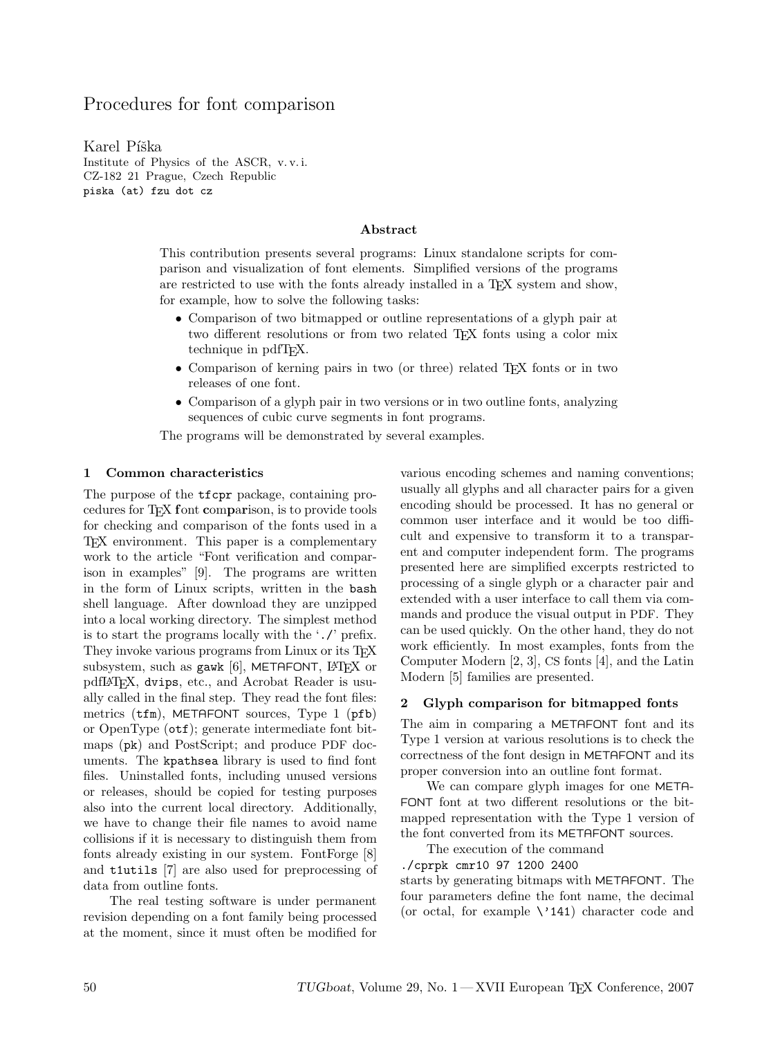# Procedures for font comparison

Karel Píška Institute of Physics of the ASCR, v. v. i. CZ-182 21 Prague, Czech Republic piska (at) fzu dot cz

#### Abstract

This contribution presents several programs: Linux standalone scripts for comparison and visualization of font elements. Simplified versions of the programs are restricted to use with the fonts already installed in a T<sub>E</sub>X system and show, for example, how to solve the following tasks:

- Comparison of two bitmapped or outline representations of a glyph pair at two different resolutions or from two related T<sub>EX</sub> fonts using a color mix technique in pdfTEX.
- Comparison of kerning pairs in two (or three) related T<sub>E</sub>X fonts or in two releases of one font.
- Comparison of a glyph pair in two versions or in two outline fonts, analyzing sequences of cubic curve segments in font programs.

The programs will be demonstrated by several examples.

#### 1 Common characteristics

The purpose of the tfcpr package, containing procedures for TEX font comparison, is to provide tools for checking and comparison of the fonts used in a TEX environment. This paper is a complementary work to the article "Font verification and comparison in examples" [9]. The programs are written in the form of Linux scripts, written in the bash shell language. After download they are unzipped into a local working directory. The simplest method is to start the programs locally with the './' prefix. They invoke various programs from Linux or its TFX subsystem, such as gawk [6], METAFONT,  $\text{LFT}$  or pdfL<sup>A</sup>TEX, dvips, etc., and Acrobat Reader is usually called in the final step. They read the font files: metrics (tfm), METAFONT sources, Type 1 (pfb) or OpenType (otf); generate intermediate font bitmaps (pk) and PostScript; and produce PDF documents. The kpathsea library is used to find font files. Uninstalled fonts, including unused versions or releases, should be copied for testing purposes also into the current local directory. Additionally, we have to change their file names to avoid name collisions if it is necessary to distinguish them from fonts already existing in our system. FontForge [8] and t1utils [7] are also used for preprocessing of data from outline fonts.

The real testing software is under permanent revision depending on a font family being processed at the moment, since it must often be modified for various encoding schemes and naming conventions; usually all glyphs and all character pairs for a given encoding should be processed. It has no general or common user interface and it would be too difficult and expensive to transform it to a transparent and computer independent form. The programs presented here are simplified excerpts restricted to processing of a single glyph or a character pair and extended with a user interface to call them via commands and produce the visual output in PDF. They can be used quickly. On the other hand, they do not work efficiently. In most examples, fonts from the Computer Modern [2, 3], CS fonts [4], and the Latin Modern [5] families are presented.

#### 2 Glyph comparison for bitmapped fonts

The aim in comparing a METAFONT font and its Type 1 version at various resolutions is to check the correctness of the font design in METAFONT and its proper conversion into an outline font format.

We can compare glyph images for one META-FONT font at two different resolutions or the bitmapped representation with the Type 1 version of the font converted from its METAFONT sources.

The execution of the command

./cprpk cmr10 97 1200 2400

starts by generating bitmaps with METAFONT. The four parameters define the font name, the decimal (or octal, for example  $\backslash$ '141) character code and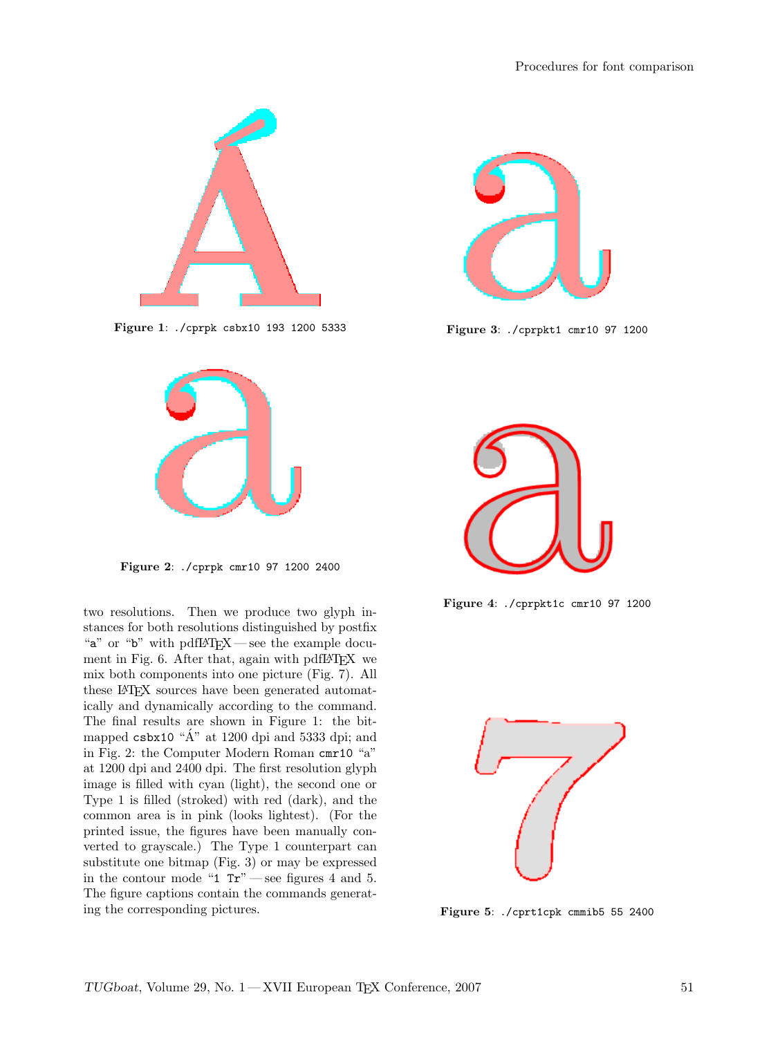

Figure 1: ./cprpk csbx10 193 1200 5333



Figure 2: ./cprpk cmr10 97 1200 2400

two resolutions. Then we produce two glyph instances for both resolutions distinguished by postfix "a" or "b" with pdfLAT<sub>F</sub>X — see the example document in Fig. 6. After that, again with pdfLATEX we mix both components into one picture (Fig. 7). All these L<sup>A</sup>TEX sources have been generated automatically and dynamically according to the command. The final results are shown in Figure 1: the bitmapped csbx10 " $\AA$ " at 1200 dpi and 5333 dpi; and in Fig. 2: the Computer Modern Roman cmr10 "a" at 1200 dpi and 2400 dpi. The first resolution glyph image is filled with cyan (light), the second one or Type 1 is filled (stroked) with red (dark), and the common area is in pink (looks lightest). (For the printed issue, the figures have been manually converted to grayscale.) The Type 1 counterpart can substitute one bitmap (Fig. 3) or may be expressed in the contour mode "1  $Tr$ " — see figures 4 and 5. The figure captions contain the commands generating the corresponding pictures.



Figure 3: ./cprpkt1 cmr10 97 1200



Figure 4: ./cprpkt1c cmr10 97 1200



Figure 5: ./cprt1cpk cmmib5 55 2400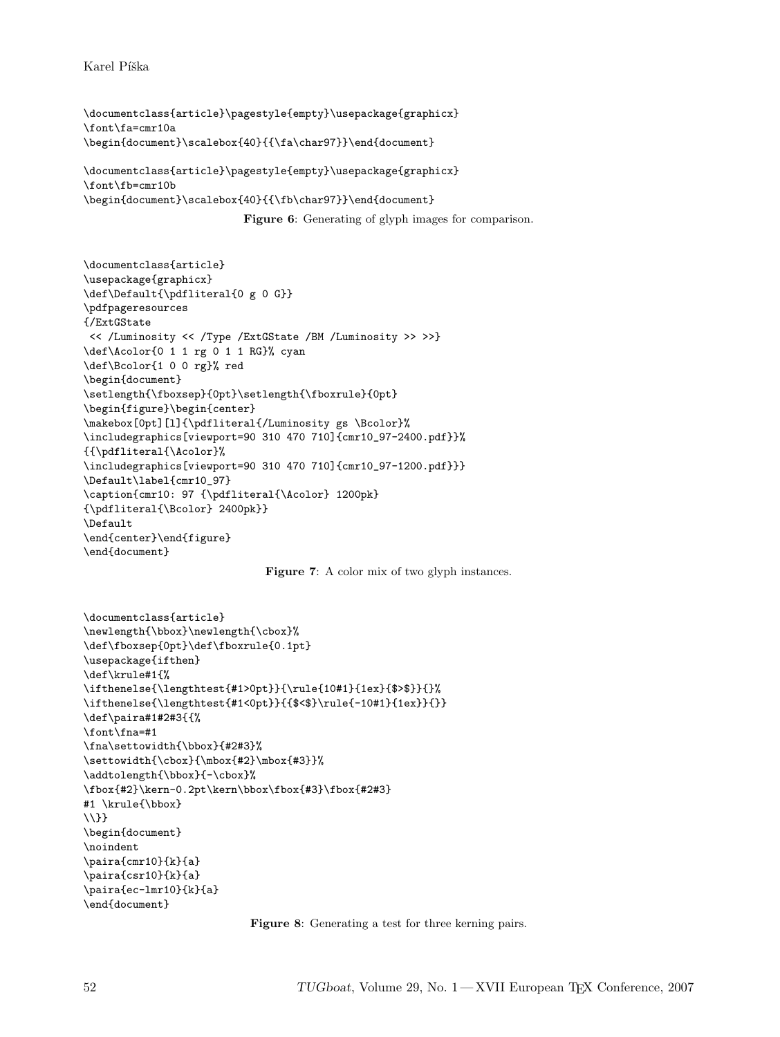Karel Píška

```
\documentclass{article}\pagestyle{empty}\usepackage{graphicx}
\font\fa=cmr10a
\begin{document}\scalebox{40}{{\fa\char97}}\end{document}
```

```
\documentclass{article}\pagestyle{empty}\usepackage{graphicx}
\font\fb=cmr10b
\begin{document}\scalebox{40}{{\fb\char97}}\end{document}
```
Figure 6: Generating of glyph images for comparison.

```
\documentclass{article}
\usepackage{graphicx}
\def\Default{\pdfliteral{0 g 0 G}}
\pdfpageresources
{/ExtGState
<< /Luminosity << /Type /ExtGState /BM /Luminosity >> >>}
\def\Acolor{0 1 1 rg 0 1 1 RG}% cyan
\def\Bcolor{1 0 0 rg}% red
\begin{document}
\setlength{\fboxsep}{0pt}\setlength{\fboxrule}{0pt}
\begin{figure}\begin{center}
\makebox[0pt][l]{\pdfliteral{/Luminosity gs \Bcolor}%
\includegraphics[viewport=90 310 470 710]{cmr10_97-2400.pdf}}%
{{\pdfliteral{\Acolor}%
\includegraphics[viewport=90 310 470 710]{cmr10_97-1200.pdf}}}
\Default\label{cmr10_97}
\caption{cmr10: 97 {\pdfliteral{\Acolor} 1200pk}
{\pdfliteral{\Bcolor} 2400pk}}
\Default
\end{center}\end{figure}
\end{document}
```


```
\documentclass{article}
\newlength{\bbox}\newlength{\cbox}%
\def\fboxsep{0pt}\def\fboxrule{0.1pt}
\usepackage{ifthen}
\def\krule#1{%
\ifthenelse{\lengthtest{#1>0pt}}{\rule{10#1}{1ex}{$>$}}{}%
\ifthenelse{\lengthtest{#1<0pt}}{{$<$}\rule{-10#1}{1ex}}{}}
\def\paira#1#2#3{{%
\font\fna=#1
\fna\settowidth{\bbox}{#2#3}%
\settowidth{\cbox}{\mbox{#2}\mbox{#3}}%
\addtolength{\bbox}{-\cbox}%
\fbox{#2}\kern-0.2pt\kern\bbox\fbox{#3}\fbox{#2#3}
#1 \krule{\bbox}
\\}}
\begin{document}
\noindent
\paira{cmr10}{k}{a}
\paira{csr10}{k}{a}
\paira{ec-lmr10}{k}{a}
\end{document}
```
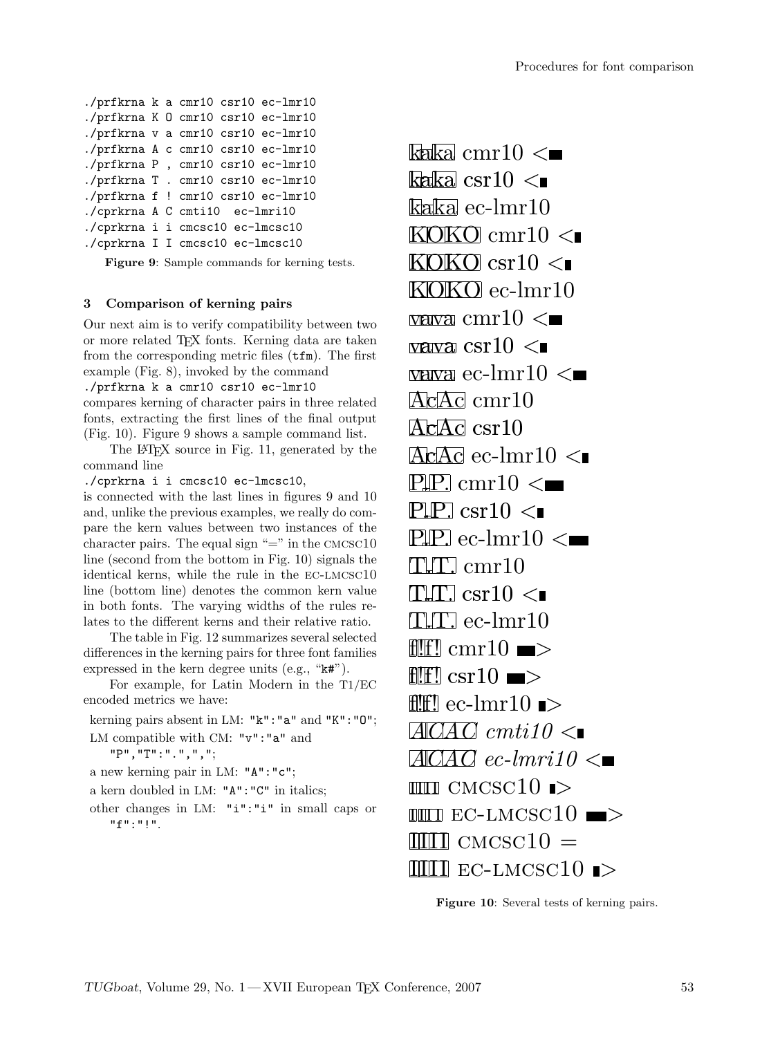```
./prfkrna k a cmr10 csr10 ec-lmr10
./prfkrna K O cmr10 csr10 ec-lmr10
./prfkrna v a cmr10 csr10 ec-lmr10
./prfkrna A c cmr10 csr10 ec-lmr10
./prfkrna P , cmr10 csr10 ec-lmr10
./prfkrna T . cmr10 csr10 ec-lmr10
./prfkrna f ! cmr10 csr10 ec-lmr10
./cprkrna A C cmti10 ec-lmri10
./cprkrna i i cmcsc10 ec-lmcsc10
./cprkrna I I cmcsc10 ec-lmcsc10
```
Figure 9: Sample commands for kerning tests.

# 3 Comparison of kerning pairs

Our next aim is to verify compatibility between two or more related TEX fonts. Kerning data are taken from the corresponding metric files (tfm). The first example (Fig. 8), invoked by the command ./prfkrna k a cmr10 csr10 ec-lmr10

compares kerning of character pairs in three related fonts, extracting the first lines of the final output (Fig. 10). Figure 9 shows a sample command list.

The L<sup>A</sup>TEX source in Fig. 11, generated by the command line

./cprkrna i i cmcsc10 ec-lmcsc10,

is connected with the last lines in figures 9 and 10 and, unlike the previous examples, we really do compare the kern values between two instances of the character pairs. The equal sign "=" in the  $\textsc{cmcsc10}$ line (second from the bottom in Fig. 10) signals the identical kerns, while the rule in the ec-lmcsc10 line (bottom line) denotes the common kern value in both fonts. The varying widths of the rules relates to the different kerns and their relative ratio.

The table in Fig. 12 summarizes several selected differences in the kerning pairs for three font families expressed in the kern degree units (e.g., "k#").

For example, for Latin Modern in the T1/EC encoded metrics we have:

kerning pairs absent in LM: "k":"a" and "K":"O";

LM compatible with CM: "v": "a" and

```
"P","T":".",",";
```
a new kerning pair in LM: "A":"c";

a kern doubled in LM: "A":"C" in italics;

other changes in LM: "i":"i" in small caps or "f":"!".

kaka cmr $10 <$ kaka csr10  $\lt$ kaka ec-lmr10  $KOKO \, cmr10 \leq$  $KOKO$  csr10  $<$ KOKO ec-lmr10 vava cmr $10 <$ vava csr $10 <$ vava ec-lmr $10 <$ AcAc cmr10 AcAc csr10  $\angle$ Ac $\overline{AC}$  ec-lmr10  $\angle$  $\text{P.P.}$  cmr10  $\leq$ P.P. csr10  $\lt$  $\text{PLP.}$  ec-lmr10  $\leq$  $TLT. cmr10$  $TLT. \text{csr10} <$  $TLT.$  ec-lmr10 f $\mathbb{H}$  cmr10  $\blacksquare$ f!! $f$ ! csr10  $\blacksquare$  $ff!$  ec-lmr10  $\Rightarrow$  $A C A C$  cmtil $0 \leq$  $A\Box A\Box C$  *ec-lmri10*  $\lt$  $\mathbb{I}$ iiiiii  $\mathbb{C} \mathbf{M} \mathbf{C} \mathbf{S} \mathbf{C}$ 10  $\mathbb{I}$  $IIII$  EC-LMCSC10  $\blacksquare$  $IIIII$  CMCSC10  $=$  $IIIII$  EC-LMCSC10  $\triangleright$ 

Figure 10: Several tests of kerning pairs.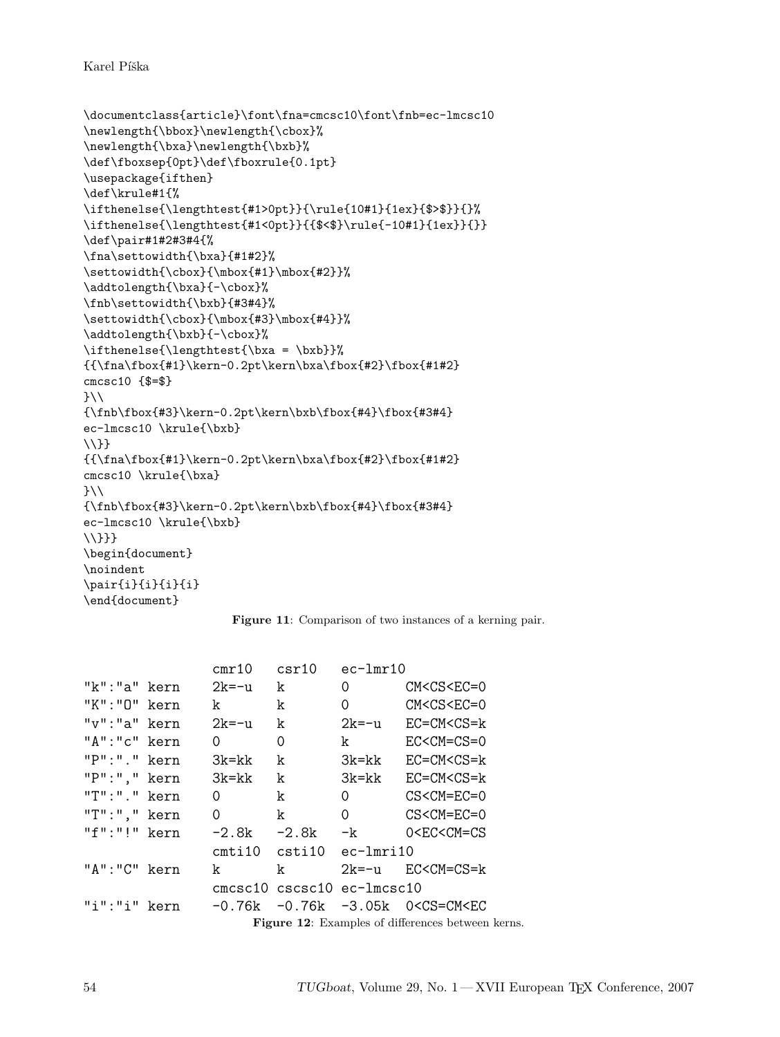Karel Píška

```
\documentclass{article}\font\fna=cmcsc10\font\fnb=ec-lmcsc10
\newlength{\bbox}\newlength{\cbox}%
\newlength{\bxa}\newlength{\bxb}%
\def\fboxsep{0pt}\def\fboxrule{0.1pt}
\usepackage{ifthen}
\def\krule#1{%
\ifthenelse{\lengthtest{#1>0pt}}{\rule{10#1}{1ex}{$>$}}{}%
\ifthenelse{\lengthtest{#1<0pt}}{{$<$}\rule{-10#1}{1ex}}{}}
\def\pair#1#2#3#4{%
\fna\settowidth{\bxa}{#1#2}%
\settowidth{\cbox}{\mbox{#1}\mbox{#2}}%
\addtolength{\bxa}{-\cbox}%
\fnb\settowidth{\bxb}{#3#4}%
\settowidth{\cbox}{\mbox{#3}\mbox{#4}}%
\addtolength{\bxb}{-\cbox}%
\ifthenelse{\lengthtest{\bxa = \bxb}}%
{{\fna\fbox{#1}\kern-0.2pt\kern\bxa\fbox{#2}\fbox{#1#2}
cmcsc10 {$=$}
}}\\
{\rho\delta\delta}{\fnb\fbox{#3}\kern-0.2pt\kern\bxb\fbox{#4}\fbox{#3#4}
ec-lmcsc10 \krule{\bxb}
\{\{\}\}{\frac{#1}{\kern-0.2pt\ker\n\bxa\fbox{#2}}\fbox{#1#2}}cmcsc10 \krule{\bxa}
}\\
{\rho\,\frac{#3}\ker n-0.2pt\ker\bxb\fbox{#4}\fbox{#3#4}ec-lmcsc10 \krule{\bxb}
\\}}}
\begin{document}
\noindent
\pair{i}{i}{i}{i}
\end{document}
```


|                  | cmr10             | csr10   | $ec-lmr10$                                        |                                               |  |
|------------------|-------------------|---------|---------------------------------------------------|-----------------------------------------------|--|
| "k":"a" kern     | $2k = -11$        | k       | 0                                                 | $CM < CSC = 0$                                |  |
| "K":"O" kern     | k                 | k       | 0                                                 | $CM < CSC = 0$                                |  |
| $"v"$ : "a" kern | $2k = -11$        | k       | 2k=-u                                             | $EC=CM < CS=k$                                |  |
| "A":"c" kern     | Ω                 | 0       | k                                                 | $EC < CM = CS = 0$                            |  |
| "P":"." kern     | $3k$ = $kk$       | k       | 3k=kk                                             | $EC=CMCCS=k$                                  |  |
| "P":"," kern     | $3k$ = $kk$       | k       | 3k=kk                                             | $EC=CM < CS=k$                                |  |
| "T":"." kern     | 0                 | k       | 0                                                 | $CS < CM = EC = 0$                            |  |
| $"T":".$ kern    | 0                 | k       | 0                                                 | $CS < CM = EC = 0$                            |  |
| "f":"!" kern     | -2.8k             | $-2.8k$ | -k                                                | 0 <ec<cm=cs< td=""></ec<cm=cs<>               |  |
|                  | $\texttt{cmti10}$ | csti10  | ec-lmri10                                         |                                               |  |
| "A":"C" kern     | k                 | k       |                                                   | $2k=-u$ $EC < CM = CS = k$                    |  |
|                  |                   |         | cmcsc10 cscsc10 ec-lmcsc10                        |                                               |  |
| "i":"i" kern     | -0.76k            |         |                                                   | -0.76k -3.05k 0 <cs=cm<ec< td=""></cs=cm<ec<> |  |
|                  |                   |         | Figure 12: Examples of differences between kerns. |                                               |  |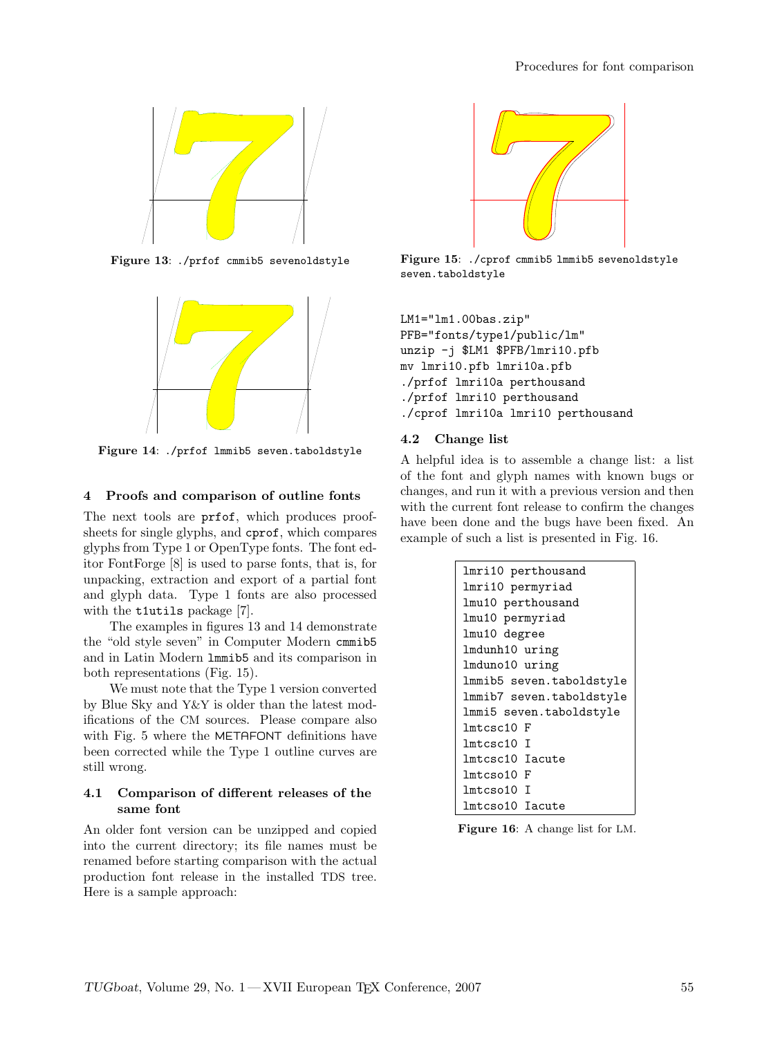

Figure 13: ./prfof cmmib5 sevenoldstyle



Figure 14: ./prfof lmmib5 seven.taboldstyle

#### 4 Proofs and comparison of outline fonts

The next tools are prfof, which produces proofsheets for single glyphs, and cprof, which compares glyphs from Type 1 or OpenType fonts. The font editor FontForge [8] is used to parse fonts, that is, for unpacking, extraction and export of a partial font and glyph data. Type 1 fonts are also processed with the t1utils package [7].

The examples in figures 13 and 14 demonstrate the "old style seven" in Computer Modern cmmib5 and in Latin Modern lmmib5 and its comparison in both representations (Fig. 15).

We must note that the Type 1 version converted by Blue Sky and Y&Y is older than the latest modifications of the CM sources. Please compare also with Fig. 5 where the METAFONT definitions have been corrected while the Type 1 outline curves are still wrong.

#### 4.1 Comparison of different releases of the same font

An older font version can be unzipped and copied into the current directory; its file names must be renamed before starting comparison with the actual production font release in the installed TDS tree. Here is a sample approach:



Figure 15: ./cprof cmmib5 lmmib5 sevenoldstyle seven.taboldstyle

```
LM1="lm1.00bas.zip"
PFB="fonts/type1/public/lm"
unzip -j $LM1 $PFB/lmri10.pfb
mv lmri10.pfb lmri10a.pfb
./prfof lmri10a perthousand
./prfof lmri10 perthousand
./cprof lmri10a lmri10 perthousand
```
#### 4.2 Change list

A helpful idea is to assemble a change list: a list of the font and glyph names with known bugs or changes, and run it with a previous version and then with the current font release to confirm the changes have been done and the bugs have been fixed. An example of such a list is presented in Fig. 16.

| lmri10 perthousand       |
|--------------------------|
| lmri10 permyriad         |
| lmu10 perthousand        |
| lmu10 permyriad          |
| lmu10 degree             |
| lmdunh10 uring           |
| lmduno10 uring           |
| lmmib5 seven.taboldstyle |
| lmmib7 seven.taboldstyle |
| lmmi5 seven.taboldstyle  |
| lmtcsc10 F               |
| lmtcsc10 T               |
| lmtcsc10 Iacute          |
| lmtcso10 F               |
| lmtcso10 I               |
| lmtcso10 Iacute          |

Figure 16: A change list for LM.